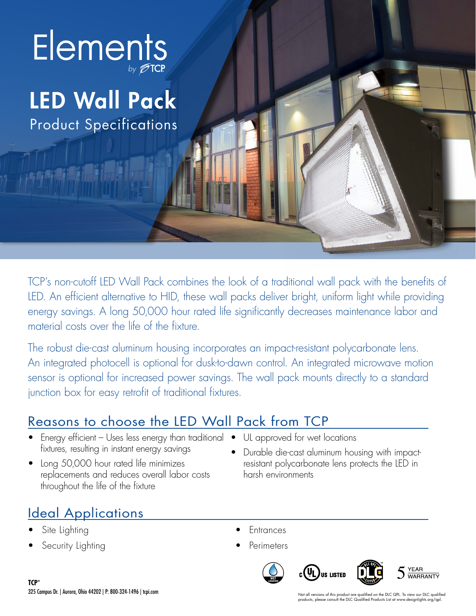

# LED Wall Pack

Product Specifications

TCP's non-cutoff LED Wall Pack combines the look of a traditional wall pack with the benefits of LED. An efficient alternative to HID, these wall packs deliver bright, uniform light while providing energy savings. A long 50,000 hour rated life significantly decreases maintenance labor and material costs over the life of the fixture.

The robust die-cast aluminum housing incorporates an impact-resistant polycarbonate lens. An integrated photocell is optional for dusk-to-dawn control. An integrated microwave motion sensor is optional for increased power savings. The wall pack mounts directly to a standard junction box for easy retrofit of traditional fixtures.

### Reasons to choose the LED Wall Pack from TCP

- Energy efficient Uses less energy than traditional fixtures, resulting in instant energy savings
- Long 50,000 hour rated life minimizes replacements and reduces overall labor costs throughout the life of the fixture
- UL approved for wet locations
- Durable die-cast aluminum housing with impactresistant polycarbonate lens protects the LED in harsh environments

# Ideal Applications

- Site Lighting
- **Security Lighting**
- Entrances
- **Perimeters**